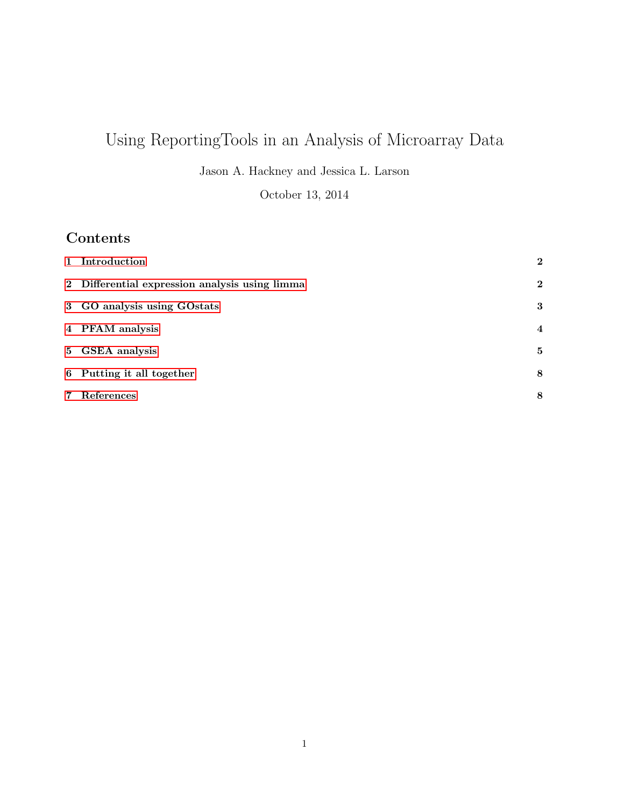# Using ReportingTools in an Analysis of Microarray Data

Jason A. Hackney and Jessica L. Larson

October 13, 2014

# Contents

| 1 Introduction                                 | $\mathbf{2}$   |
|------------------------------------------------|----------------|
| 2 Differential expression analysis using limma | $\mathbf{2}$   |
| 3 GO analysis using GOstats                    | 3              |
| 4 PFAM analysis                                | $\overline{4}$ |
| 5 GSEA analysis                                | 5              |
| 6 Putting it all together                      | 8              |
| 7 References                                   | 8              |
|                                                |                |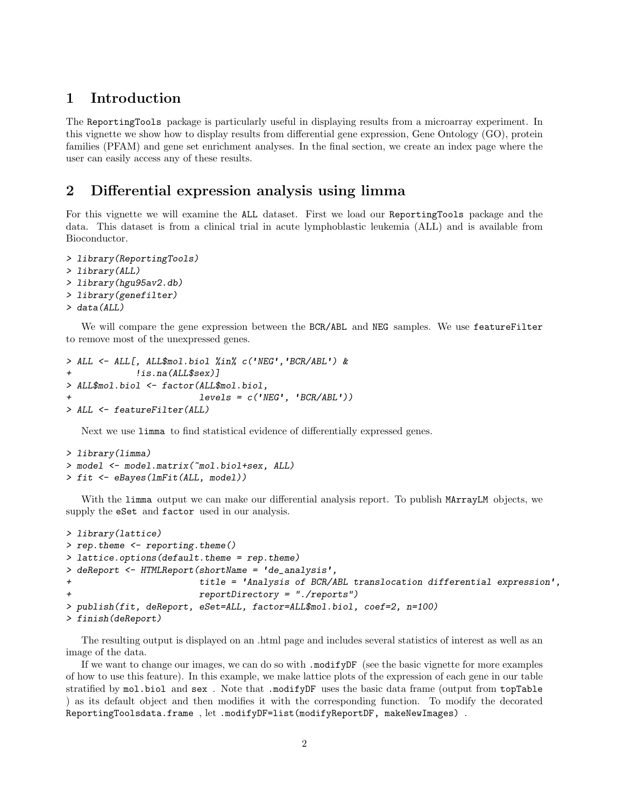### <span id="page-1-0"></span>1 Introduction

The ReportingTools package is particularly useful in displaying results from a microarray experiment. In this vignette we show how to display results from differential gene expression, Gene Ontology (GO), protein families (PFAM) and gene set enrichment analyses. In the final section, we create an index page where the user can easily access any of these results.

## <span id="page-1-1"></span>2 Differential expression analysis using limma

For this vignette we will examine the ALL dataset. First we load our ReportingTools package and the data. This dataset is from a clinical trial in acute lymphoblastic leukemia (ALL) and is available from Bioconductor.

```
> library(ReportingTools)
> library(ALL)
> library(hgu95av2.db)
> library(genefilter)
> data(ALL)
```
We will compare the gene expression between the BCR/ABL and NEG samples. We use featureFilter to remove most of the unexpressed genes.

```
> ALL <- ALL[, ALL$mol.biol %in% c('NEG','BCR/ABL') &
+ !is.na(ALL$sex)]
> ALL$mol.biol <- factor(ALL$mol.biol,
                       levels = c('NEG', 'BCR/ABL'))> ALL <- featureFilter(ALL)
```
Next we use limma to find statistical evidence of differentially expressed genes.

```
> library(limma)
> model <- model.matrix(~mol.biol+sex, ALL)
> fit <- eBayes(lmFit(ALL, model))
```
With the limma output we can make our differential analysis report. To publish MArrayLM objects, we supply the eSet and factor used in our analysis.

```
> library(lattice)
> rep.theme <- reporting.theme()
> lattice.options(default.theme = rep.theme)
> deReport <- HTMLReport(shortName = 'de_analysis',
+ title = 'Analysis of BCR/ABL translocation differential expression',
                       reportDirectory = "./reports")> publish(fit, deReport, eSet=ALL, factor=ALL$mol.biol, coef=2, n=100)
> finish(deReport)
```
The resulting output is displayed on an .html page and includes several statistics of interest as well as an image of the data.

If we want to change our images, we can do so with .modifyDF (see the basic vignette for more examples of how to use this feature). In this example, we make lattice plots of the expression of each gene in our table stratified by mol.biol and sex . Note that .modifyDF uses the basic data frame (output from topTable ) as its default object and then modifies it with the corresponding function. To modify the decorated ReportingToolsdata.frame , let .modifyDF=list(modifyReportDF, makeNewImages) .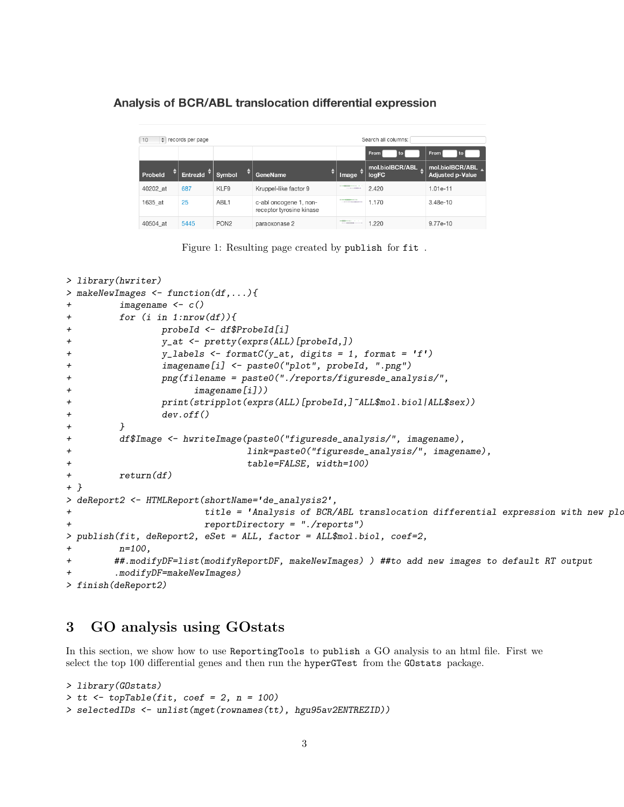#### Analysis of BCR/ABL translocation differential expression

| $\div$ records per page<br>Search all columns:<br>10 |              |          |                  |                                                    |                                                                                                                        |                          |                                            |  |  |
|------------------------------------------------------|--------------|----------|------------------|----------------------------------------------------|------------------------------------------------------------------------------------------------------------------------|--------------------------|--------------------------------------------|--|--|
|                                                      |              |          |                  |                                                    |                                                                                                                        | From<br>to               | From<br>to                                 |  |  |
|                                                      | ٠<br>Probeld | Entrezid | Symbol           | ٠<br>GeneName                                      | Image                                                                                                                  | mol.biolBCR/ABL<br>logFC | mol.biolBCR/ABL<br><b>Adjusted p-Value</b> |  |  |
|                                                      | 40202 at     | 687      | KLF9             | Kruppel-like factor 9                              | <b>STATISTICS</b><br>$11.14 - 13.04$                                                                                   | 2.420                    | 1.01e-11                                   |  |  |
|                                                      | 1635 at      | 25       | ABL <sub>1</sub> | c-abl oncogene 1, non-<br>receptor tyrosine kinase | <b>STATE OF THE ART OF THE ART OF THE ART OF THE ART OF THE ART OF THE ART OF THE ART OF THE ART OF THE ART OF THE</b> | 1.170                    | 3.48e-10                                   |  |  |
|                                                      | 40504 at     | 5445     | PON <sub>2</sub> | paraoxonase 2                                      | <b><i>STATISTICS</i></b>                                                                                               | 1.220                    | 9.77e-10                                   |  |  |

Figure 1: Resulting page created by publish for fit .

```
> library(hwriter)
> makeNewImages <- function(df,...){
+ imagename <- c()
+ for (i in 1:nrow(df)){
+ probeId <- df$ProbeId[i]
+ y_at <- pretty(exprs(ALL)[probeId,])
+ y_labels <- formatC(y_at, digits = 1, format = 'f')
+ imagename[i] <- paste0("plot", probeId, ".png")
+ png(filename = paste0("./reports/figuresde_analysis/",
+ imagename[i]))
+ print(stripplot(exprs(ALL)[probeId,]~ALL$mol.biol|ALL$sex))
+ dev.off()
+ }
+ df$Image <- hwriteImage(paste0("figuresde_analysis/", imagename),
+ link=paste0("figuresde_analysis/", imagename),
+ table=FALSE, width=100)
+ return(df)
+ }
> deReport2 <- HTMLReport(shortName='de_analysis2',
+ title = 'Analysis of BCR/ABL translocation differential expression with new plots
+ reportDirectory = "./reports")
> publish(fit, deReport2, eSet = ALL, factor = ALL$mol.biol, coef=2,
       n = 100,
+ ##.modifyDF=list(modifyReportDF, makeNewImages) ) ##to add new images to default RT output
       .modifyDF=makeNewImages)
> finish(deReport2)
```
## <span id="page-2-0"></span>3 GO analysis using GOstats

In this section, we show how to use ReportingTools to publish a GO analysis to an html file. First we select the top 100 differential genes and then run the hyperGTest from the GOstats package.

```
> library(GOstats)
> tt \le topTable(fit, coef = 2, n = 100)
> selectedIDs <- unlist(mget(rownames(tt), hgu95av2ENTREZID))
```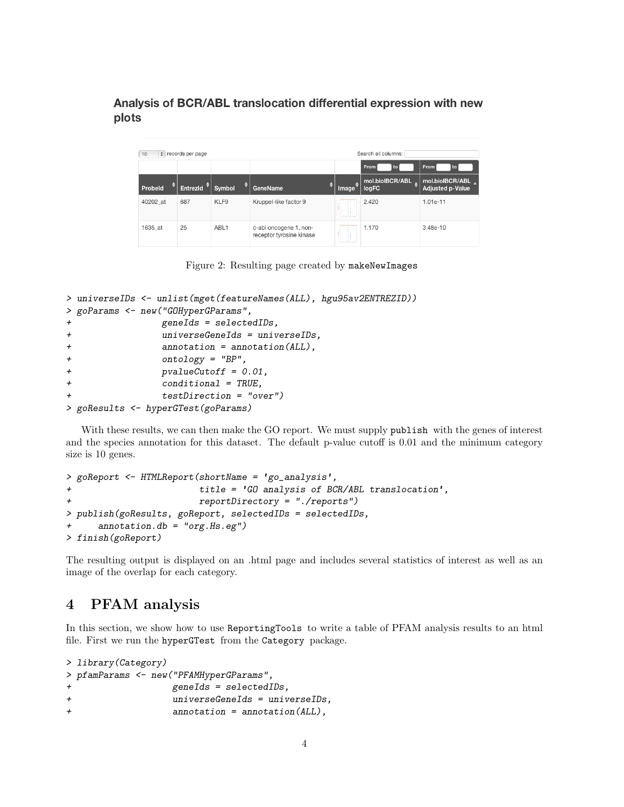Analysis of BCR/ABL translocation differential expression with new plots

| 10       | Search all columns:<br>$\div$ records per page |                  |                                                    |                          |                               |                                            |  |  |  |
|----------|------------------------------------------------|------------------|----------------------------------------------------|--------------------------|-------------------------------|--------------------------------------------|--|--|--|
|          |                                                |                  |                                                    | From<br>to               | From                          |                                            |  |  |  |
| Probeld  | Entrezid                                       | Symbol           | ٠<br>GeneName                                      | Image                    | mol.biolBCR/ABL<br>٠<br>logFC | mol.biolBCR/ABL<br><b>Adjusted p-Value</b> |  |  |  |
| 40202 at | 687                                            | KLF9             | Kruppel-like factor 9                              |                          | 2.420                         | $1.01e-11$                                 |  |  |  |
| 1635 at  | 25                                             | ABL <sub>1</sub> | c-abl oncogene 1, non-<br>receptor tyrosine kinase | <b>Contract Contract</b> | 1.170                         | 3.48e-10                                   |  |  |  |

Figure 2: Resulting page created by makeNewImages

```
> universeIDs <- unlist(mget(featureNames(ALL), hgu95av2ENTREZID))
> goParams <- new("GOHyperGParams",
+ geneIds = selectedIDs,
+ universeGeneIds = universeIDs,
+ annotation = annotation(ALL),
+ ontology = "BP",
+ pvalueCutoff = 0.01,
+ conditional = TRUE,
              testDirection = "over")> goResults <- hyperGTest(goParams)
```
With these results, we can then make the GO report. We must supply publish with the genes of interest and the species annotation for this dataset. The default p-value cutoff is 0.01 and the minimum category size is 10 genes.

```
> goReport <- HTMLReport(shortName = 'go_analysis',
                       title = 'GO analysis of BCR/ABL translation',+ reportDirectory = "./reports")
> publish(goResults, goReport, selectedIDs = selectedIDs,
     \text{annotation}.db = "org.Hs.eg")> finish(goReport)
```
The resulting output is displayed on an .html page and includes several statistics of interest as well as an image of the overlap for each category.

## <span id="page-3-0"></span>4 PFAM analysis

In this section, we show how to use ReportingTools to write a table of PFAM analysis results to an html file. First we run the hyperGTest from the Category package.

```
> library(Category)
> pfamParams <- new("PFAMHyperGParams",
+ geneIds = selectedIDs,
+ universeGeneIds = universeIDs,
+ annotation = annotation(ALL),
```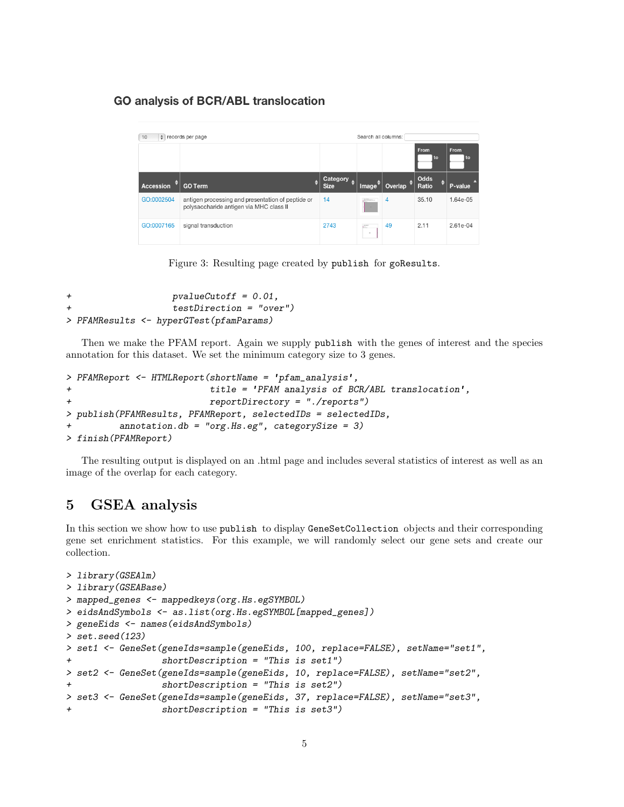#### **GO analysis of BCR/ABL translocation**

| 10         | $\div$ records per page                                                                      | Search all columns:     |                 |                      |               |              |  |
|------------|----------------------------------------------------------------------------------------------|-------------------------|-----------------|----------------------|---------------|--------------|--|
|            |                                                                                              |                         |                 |                      | From<br>l to  | From<br>l to |  |
| Accession  | <b>GO Term</b>                                                                               | Category<br><b>Size</b> | Image $\bar{f}$ | Overlap <sup>+</sup> | Odds<br>Ratio | P-value      |  |
| GO:0002504 | antigen processing and presentation of peptide or<br>polysaccharide antigen via MHC class II | 14                      | 1999            | 4                    | 35.10         | 1.64e-05     |  |
| GO:0007165 | signal transduction                                                                          | 2743                    | 正<br>$\sim$     | 49                   | 2.11          | 2.61e-04     |  |

Figure 3: Resulting page created by publish for goResults.

```
+ pvalueCutoff = 0.01,
                 + testDirection = "over")
> PFAMResults <- hyperGTest(pfamParams)
```
Then we make the PFAM report. Again we supply publish with the genes of interest and the species annotation for this dataset. We set the minimum category size to 3 genes.

```
> PFAMReport <- HTMLReport(shortName = 'pfam_analysis',
+ title = 'PFAM analysis of BCR/ABL translocation',
+ reportDirectory = "./reports")
> publish(PFAMResults, PFAMReport, selectedIDs = selectedIDs,
        \text{annotation}.db = "org.Hs.eg", categorySize = 3)> finish(PFAMReport)
```
The resulting output is displayed on an .html page and includes several statistics of interest as well as an image of the overlap for each category.

### <span id="page-4-0"></span>5 GSEA analysis

In this section we show how to use publish to display GeneSetCollection objects and their corresponding gene set enrichment statistics. For this example, we will randomly select our gene sets and create our collection.

```
> library(GSEAlm)
> library(GSEABase)
> mapped_genes <- mappedkeys(org.Hs.egSYMBOL)
> eidsAndSymbols <- as.list(org.Hs.egSYMBOL[mapped_genes])
> geneEids <- names(eidsAndSymbols)
> set.seed(123)
> set1 <- GeneSet(geneIds=sample(geneEids, 100, replace=FALSE), setName="set1",
                 shortDescription = "This is set1")> set2 <- GeneSet(geneIds=sample(geneEids, 10, replace=FALSE), setName="set2",
                 shortDescription = "This is set2")> set3 <- GeneSet(geneIds=sample(geneEids, 37, replace=FALSE), setName="set3",
+ shortDescription = "This is set3")
```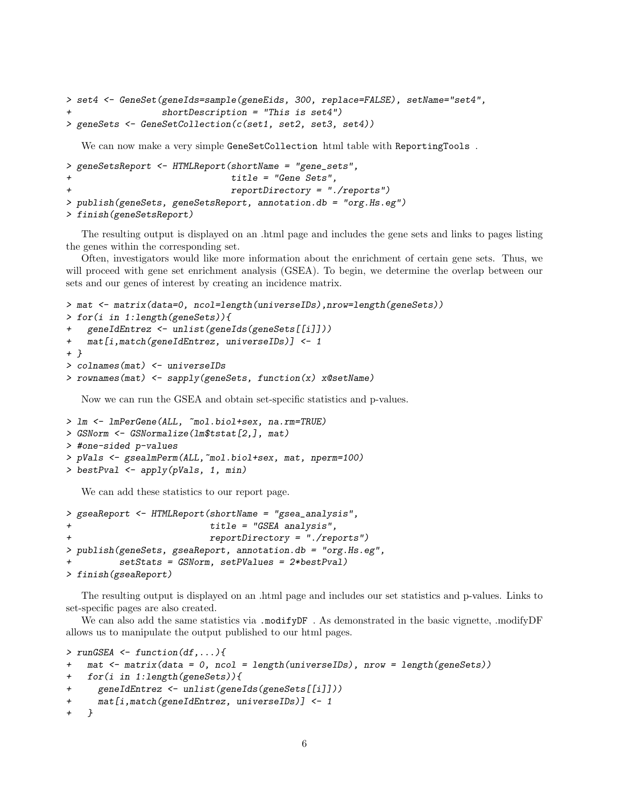```
> set4 <- GeneSet(geneIds=sample(geneEids, 300, replace=FALSE), setName="set4",
                  shortDescription = "This is set4")> geneSets <- GeneSetCollection(c(set1, set2, set3, set4))
```
We can now make a very simple GeneSetCollection html table with ReportingTools .

```
> geneSetsReport <- HTMLReport(shortName = "gene_sets",
                               title = "Gene Sets",reportDirectory = "./reports")> publish(geneSets, geneSetsReport, annotation.db = "org.Hs.eg")
> finish(geneSetsReport)
```
The resulting output is displayed on an .html page and includes the gene sets and links to pages listing the genes within the corresponding set.

Often, investigators would like more information about the enrichment of certain gene sets. Thus, we will proceed with gene set enrichment analysis (GSEA). To begin, we determine the overlap between our sets and our genes of interest by creating an incidence matrix.

```
> mat <- matrix(data=0, ncol=length(universeIDs),nrow=length(geneSets))
> for(i in 1:length(geneSets)){
   + geneIdEntrez <- unlist(geneIds(geneSets[[i]]))
   mat[i,match(geneIdEntrez, universeIBs)] <- 1
+ }
> colnames(mat) <- universeIDs
> rownames(mat) <- sapply(geneSets, function(x) x@setName)
```
Now we can run the GSEA and obtain set-specific statistics and p-values.

```
> lm <- lmPerGene(ALL, ~mol.biol+sex, na.rm=TRUE)
> GSNorm <- GSNormalize(lm$tstat[2,], mat)
> #one-sided p-values
> pVals <- gsealmPerm(ALL,~mol.biol+sex, mat, nperm=100)
> bestPval <- apply(pVals, 1, min)
```
We can add these statistics to our report page.

```
> gseaReport <- HTMLReport(shortName = "gsea_analysis",
                           title = "GSEA analysis",+ reportDirectory = "./reports")
> publish(geneSets, gseaReport, annotation.db = "org.Hs.eg",
          setStats = GSMorm, setPValues = 2*bestPval)> finish(gseaReport)
```
The resulting output is displayed on an .html page and includes our set statistics and p-values. Links to set-specific pages are also created.

We can also add the same statistics via .modifyDF. As demonstrated in the basic vignette, .modifyDF allows us to manipulate the output published to our html pages.

```
> runGSEA \leq function(df,...){
+ mat <- matrix(data = 0, ncol = length(universeIDs), nrow = length(geneSets))
+ for(i in 1:length(geneSets)){
+ geneIdEntrez <- unlist(geneIds(geneSets[[i]]))
+ mat[i,match(geneIdEntrez, universeIDs)] <- 1
   + }
```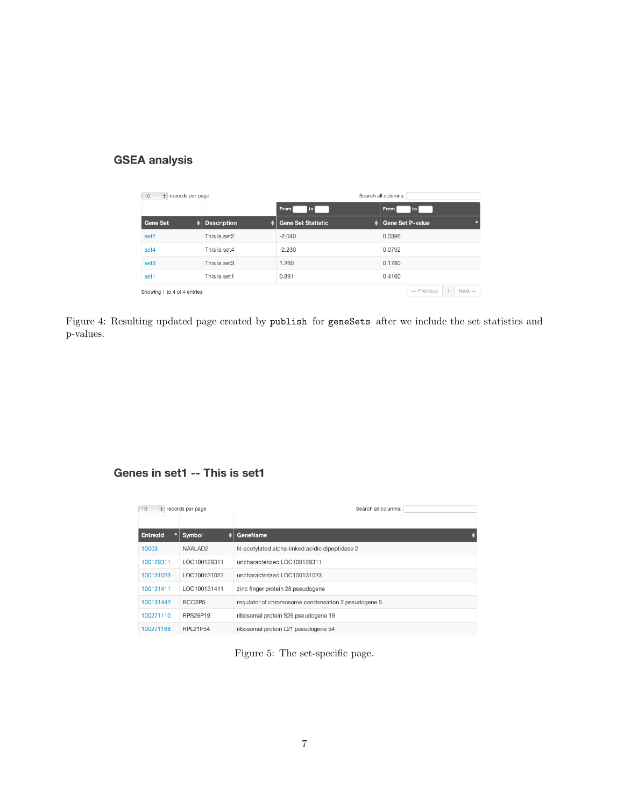## **GSEA analysis**

| $\div$ records per page<br>10 |   |                    | Search all columns: |                                 |        |                       |  |                    |
|-------------------------------|---|--------------------|---------------------|---------------------------------|--------|-----------------------|--|--------------------|
|                               |   |                    |                     | From<br>to                      | From   | l to                  |  |                    |
| <b>Gene Set</b>               | ♦ | <b>Description</b> | ٠                   | <b>Gene Set Statistic</b><br>÷۱ |        | Gene Set P-value      |  |                    |
| set <sub>2</sub>              |   | This is set2       |                     | $-2.040$                        | 0.0396 |                       |  |                    |
| set4                          |   | This is set4       |                     | $-2.230$                        | 0.0792 |                       |  |                    |
| set <sub>3</sub>              |   | This is set3       |                     | 1.260                           | 0.1780 |                       |  |                    |
| set1                          |   | This is set1       |                     | 0.891                           | 0.4160 |                       |  |                    |
| Showing 1 to 4 of 4 entries   |   |                    |                     |                                 |        | $\leftarrow$ Previous |  | $Next \rightarrow$ |

Figure 4: Resulting updated page created by publish for geneSets after we include the set statistics and p-values.

## Genes in set1 -- This is set1

| 10        | $\div$ records per page | Search all columns:                                 |  |  |  |
|-----------|-------------------------|-----------------------------------------------------|--|--|--|
| EntrezId  | Symbol<br>٠             | GeneName                                            |  |  |  |
| 10003     | NAALAD <sub>2</sub>     | N-acetylated alpha-linked acidic dipeptidase 2      |  |  |  |
| 100129311 | LOC100129311            | uncharacterized LOC100129311                        |  |  |  |
| 100131023 | LOC100131023            | uncharacterized LOC100131023                        |  |  |  |
| 100131411 | LOC100131411            | zinc finger protein 28 pseudogene                   |  |  |  |
| 100131442 | RCC2P5                  | regulator of chromosome condensation 2 pseudogene 5 |  |  |  |
| 100271110 | <b>RPS26P19</b>         | ribosomal protein S26 pseudogene 19                 |  |  |  |
| 100271168 | RPL21P54                | ribosomal protein L21 pseudogene 54                 |  |  |  |

Figure 5: The set-specific page.